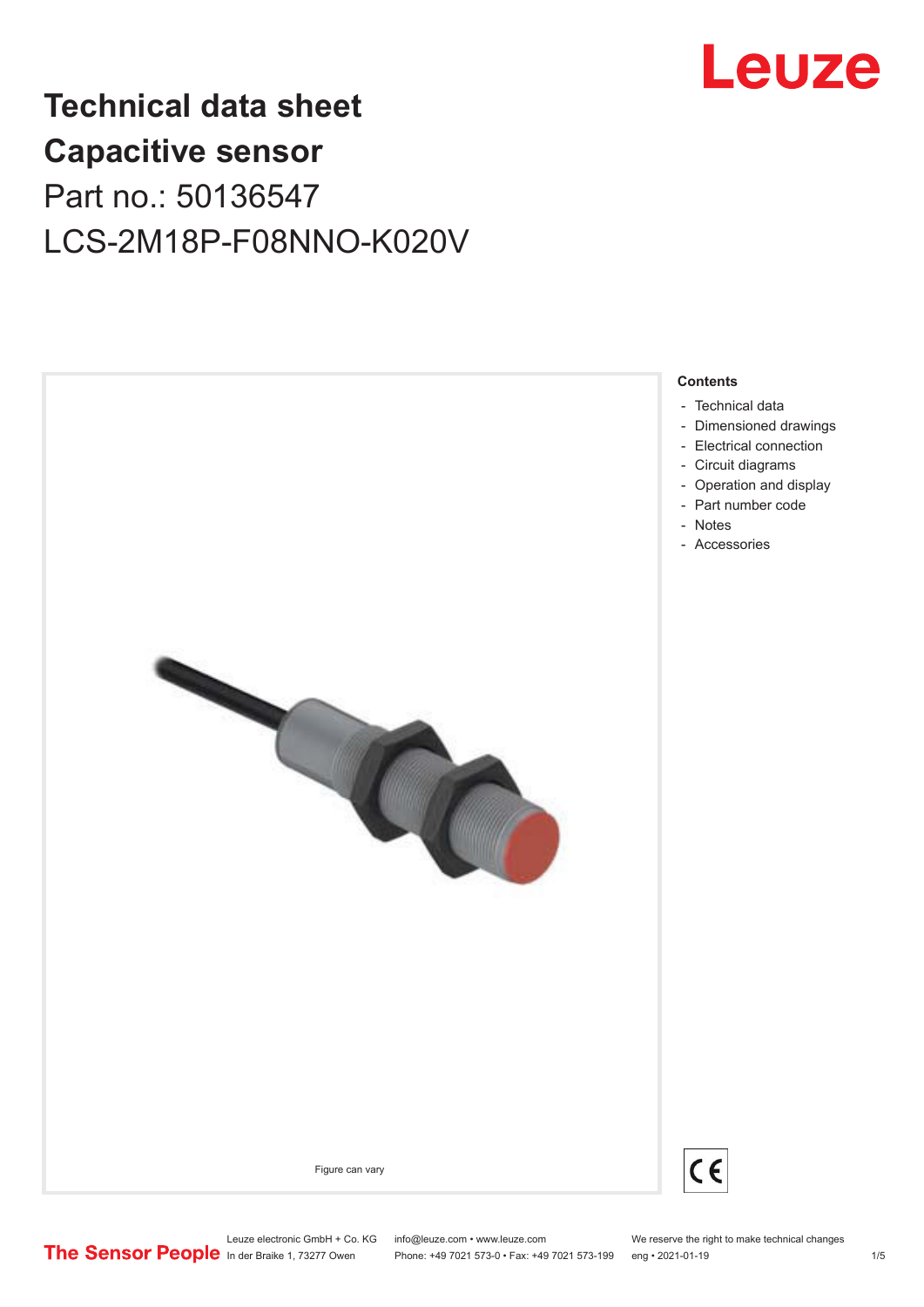

# **Technical data sheet Capacitive sensor** Part no.: 50136547 LCS-2M18P-F08NNO-K020V



Leuze electronic GmbH + Co. KG info@leuze.com • www.leuze.com We reserve the right to make technical changes<br>
The Sensor People in der Braike 1, 73277 Owen Phone: +49 7021 573-0 • Fax: +49 7021 573-199 eng • 2021-01-19

Phone: +49 7021 573-0 • Fax: +49 7021 573-199 eng • 2021-01-19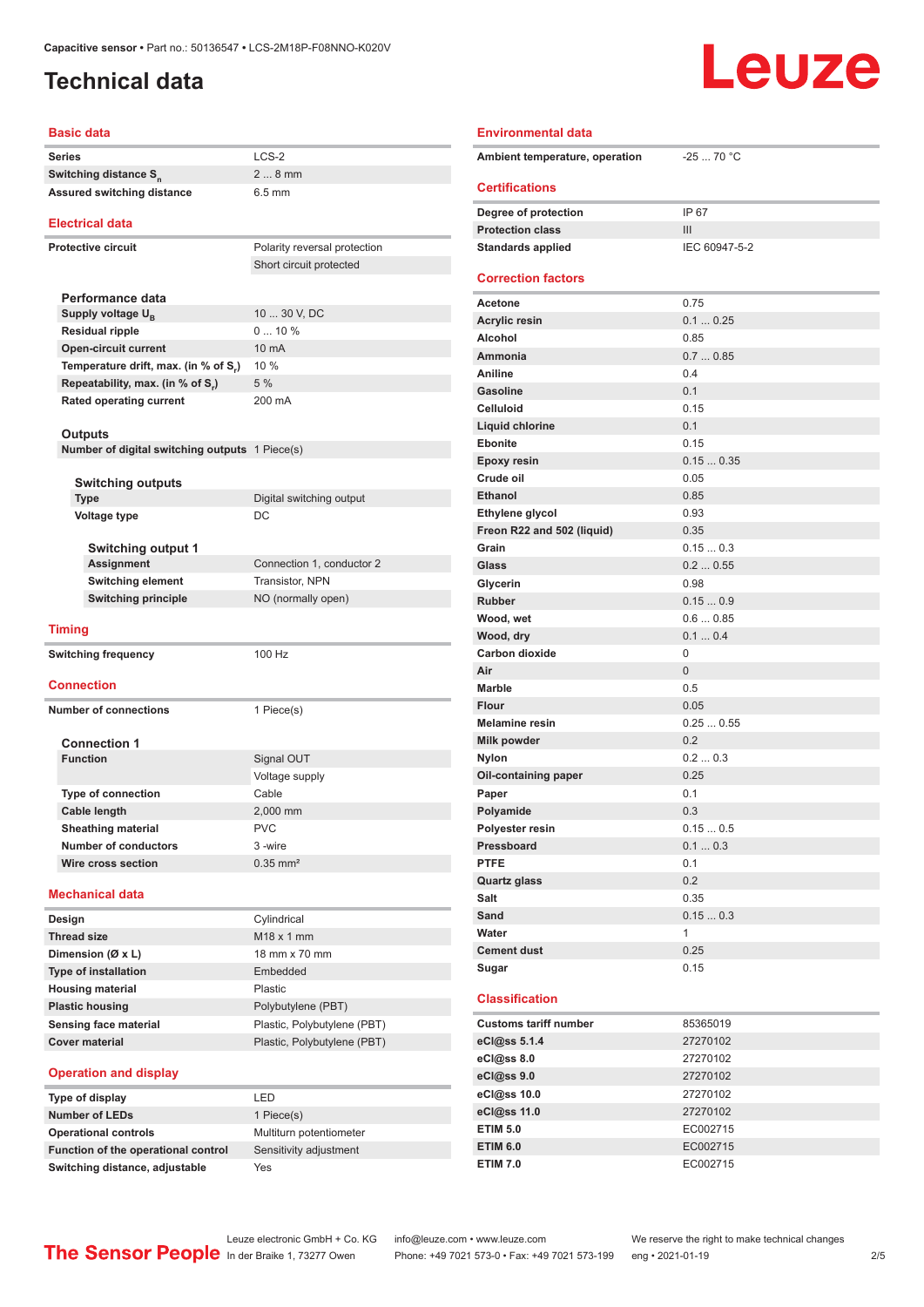## <span id="page-1-0"></span>**Technical data**

| <b>Basic data</b>                              |                              |  |  |
|------------------------------------------------|------------------------------|--|--|
| Series                                         | LCS-2                        |  |  |
| Switching distance S <sub>n</sub>              | $28$ mm                      |  |  |
| <b>Assured switching distance</b>              | $6.5$ mm                     |  |  |
|                                                |                              |  |  |
| <b>Electrical data</b>                         |                              |  |  |
| <b>Protective circuit</b>                      | Polarity reversal protection |  |  |
|                                                | Short circuit protected      |  |  |
|                                                |                              |  |  |
| Performance data                               |                              |  |  |
| Supply voltage U <sub>B</sub>                  | 10  30 V, DC                 |  |  |
| <b>Residual ripple</b>                         | $010\%$                      |  |  |
| <b>Open-circuit current</b>                    | 10 mA                        |  |  |
| Temperature drift, max. (in % of S,)           | 10 %                         |  |  |
| Repeatability, max. (in % of S.)               | 5%                           |  |  |
| <b>Rated operating current</b>                 | 200 mA                       |  |  |
|                                                |                              |  |  |
| Outputs                                        |                              |  |  |
| Number of digital switching outputs 1 Piece(s) |                              |  |  |
| <b>Switching outputs</b>                       |                              |  |  |
| <b>Type</b>                                    | Digital switching output     |  |  |
| <b>Voltage type</b>                            | DC                           |  |  |
|                                                |                              |  |  |
| <b>Switching output 1</b>                      |                              |  |  |
| <b>Assignment</b>                              | Connection 1, conductor 2    |  |  |
| <b>Switching element</b>                       | Transistor, NPN              |  |  |
| <b>Switching principle</b>                     | NO (normally open)           |  |  |
|                                                |                              |  |  |
| <b>Timing</b>                                  |                              |  |  |
| <b>Switching frequency</b>                     | 100 Hz                       |  |  |
|                                                |                              |  |  |
| <b>Connection</b>                              |                              |  |  |
| <b>Number of connections</b>                   | 1 Piece(s)                   |  |  |
|                                                |                              |  |  |
| <b>Connection 1</b>                            |                              |  |  |
| <b>Function</b>                                | Signal OUT                   |  |  |
|                                                | Voltage supply               |  |  |
| <b>Type of connection</b>                      | Cable                        |  |  |
| Cable length                                   | 2,000 mm                     |  |  |
| <b>Sheathing material</b>                      | <b>PVC</b>                   |  |  |
| <b>Number of conductors</b>                    | 3-wire                       |  |  |
| Wire cross section                             | $0.35$ mm <sup>2</sup>       |  |  |
| <b>Mechanical data</b>                         |                              |  |  |
|                                                |                              |  |  |
| Design                                         | Cylindrical                  |  |  |
| <b>Thread size</b>                             | M <sub>18</sub> x 1 mm       |  |  |
| Dimension (Ø x L)                              | 18 mm x 70 mm                |  |  |
| Type of installation                           | Embedded                     |  |  |
| <b>Housing material</b>                        | Plastic                      |  |  |
| <b>Plastic housing</b>                         | Polybutylene (PBT)           |  |  |
| Sensing face material                          | Plastic, Polybutylene (PBT)  |  |  |
| <b>Cover material</b>                          | Plastic, Polybutylene (PBT)  |  |  |
| and dientay                                    |                              |  |  |

### **Operation and display Type of display**

| Type of display                     | .                       |
|-------------------------------------|-------------------------|
| <b>Number of LEDs</b>               | 1 Piece(s)              |
| <b>Operational controls</b>         | Multiturn potentiometer |
| Function of the operational control | Sensitivity adjustment  |
| Switching distance, adjustable      | Yes                     |

| I FD                    |
|-------------------------|
| 1 Piece(s)              |
| Multiturn potentiometer |
| Sensitivity adjustment  |
|                         |

### **Environmental data** Ambient temperature, operation -25 ... 70 °C **Certifications Degree of protection** IP 67 **Protection class III Standards applied** IEC 60947-5-2 **Correction factors Acetone** 0.75 **Acrylic resin** 0.1 ... 0.25 **Alcohol** 0.85 **Ammonia** 0.7 ... 0.85 **Aniline** 0.4 **Gasoline** 0.1 **Celluloid** 0.15 **Liquid chlorine** 0.1 **Ebonite** 0.15 **Epoxy resin** 0.15 ... 0.35 **Crude oil** 0.05 **Ethanol** 0.85 **Ethylene glycol** 0.93 **Freon R22 and 502 (liquid)** 0.35 **Grain** 0.15 ... 0.3 **Glass** 0.2 ... 0.55 **Glycerin** 0.98 **Rubber** 0.15 ... 0.9 **Wood, wet** 0.6 ... 0.85 **Wood, dry 0.1** ... 0.4 Carbon dioxide 0 **Air** 0 **Marble** 0.5 **Flour** 0.05 **Melamine resin** 0.25 ... 0.55 **Milk powder** 0.2 **Nylon** 0.2 ... 0.3 **Oil-containing paper** 0.25 **Paper** 0.1 Polyamide 0.3 **Polyester resin** 0.15 ... 0.5 **Pressboard** 0.1 ... 0.3 **PTFE** 0.1 **Quartz glass** 0.2 **Salt** 0.35 **Sand** 0.15 ... 0.3 **Water** 1 **Cement dust** 0.25 **Sugar** 0.15 **Classification Customs tariff number** 85365019 **eCl@ss 5.1.4** 27270102 **eCl@ss 8.0** 27270102 **eCl@ss 9.0** 27270102

Leuze

| eCl@ss 5.1.4    | 27270102 |
|-----------------|----------|
| eCl@ss 8.0      | 27270102 |
| eCl@ss 9.0      | 27270102 |
| eCl@ss 10.0     | 27270102 |
| eCl@ss 11.0     | 27270102 |
| <b>ETIM 5.0</b> | EC002715 |
| <b>ETIM 6.0</b> | EC002715 |
| <b>ETIM 7.0</b> | EC002715 |

Phone: +49 7021 573-0 • Fax: +49 7021 573-199 eng • 2021-01-19 2/5

## Leuze electronic GmbH + Co. KG info@leuze.com • www.leuze.com We reserve the right to make technical changes<br>
The Sensor People in der Braike 1, 73277 Owen Phone: +49 7021 573-0 • Fax: +49 7021 573-199 eng • 2021-01-19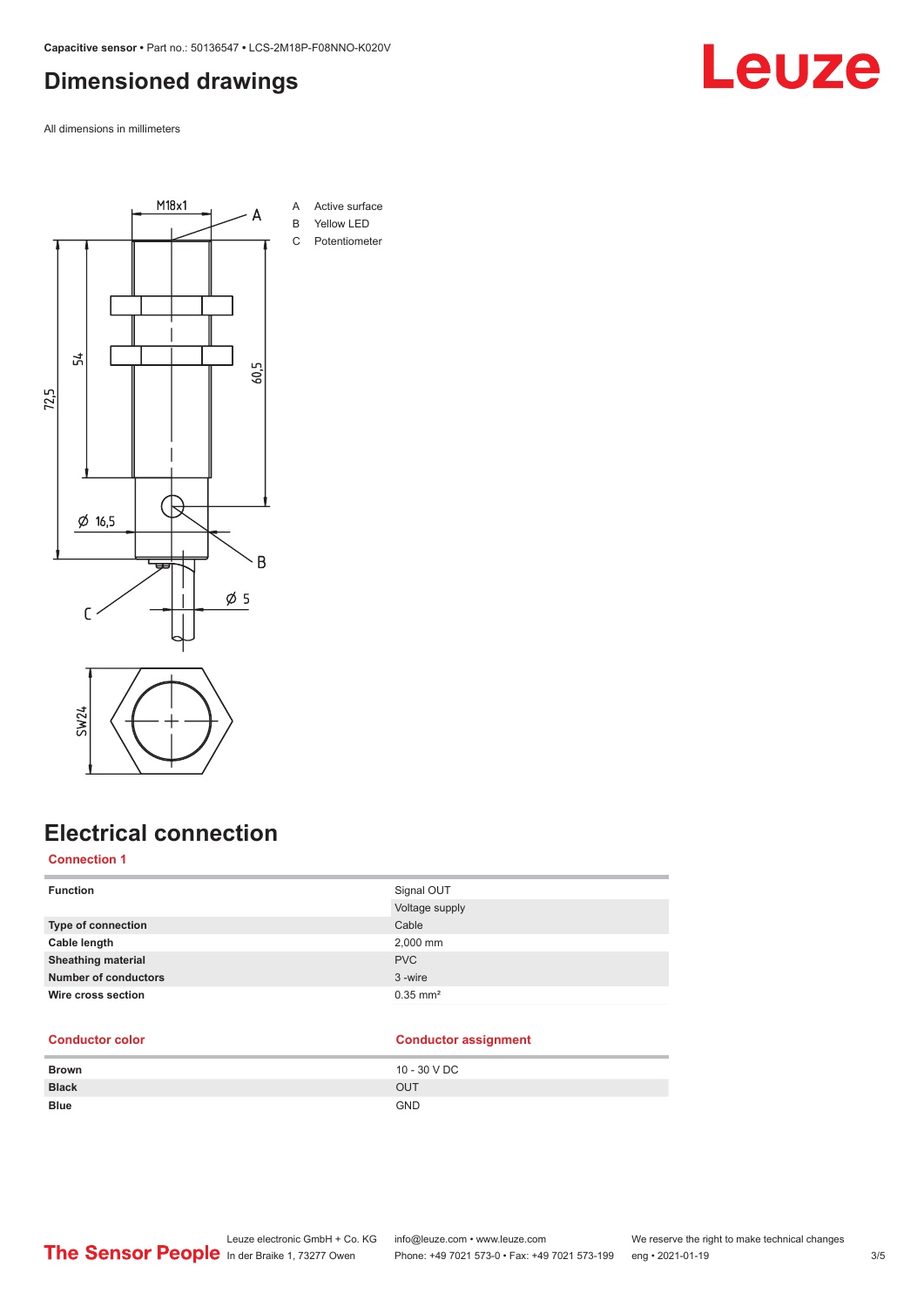### <span id="page-2-0"></span>**Dimensioned drawings**

All dimensions in millimeters



## **Electrical connection**

### **Connection 1**

| <b>Function</b>             | Signal OUT             |
|-----------------------------|------------------------|
|                             | Voltage supply         |
| <b>Type of connection</b>   | Cable                  |
| Cable length                | 2,000 mm               |
| <b>Sheathing material</b>   | <b>PVC</b>             |
| <b>Number of conductors</b> | 3-wire                 |
| Wire cross section          | $0.35$ mm <sup>2</sup> |
|                             |                        |

### **Conductor color Conductor assignment**

| <b>Brown</b> | 10 - 30 V DC |
|--------------|--------------|
| <b>Black</b> | OUT          |
| <b>Blue</b>  | <b>GND</b>   |

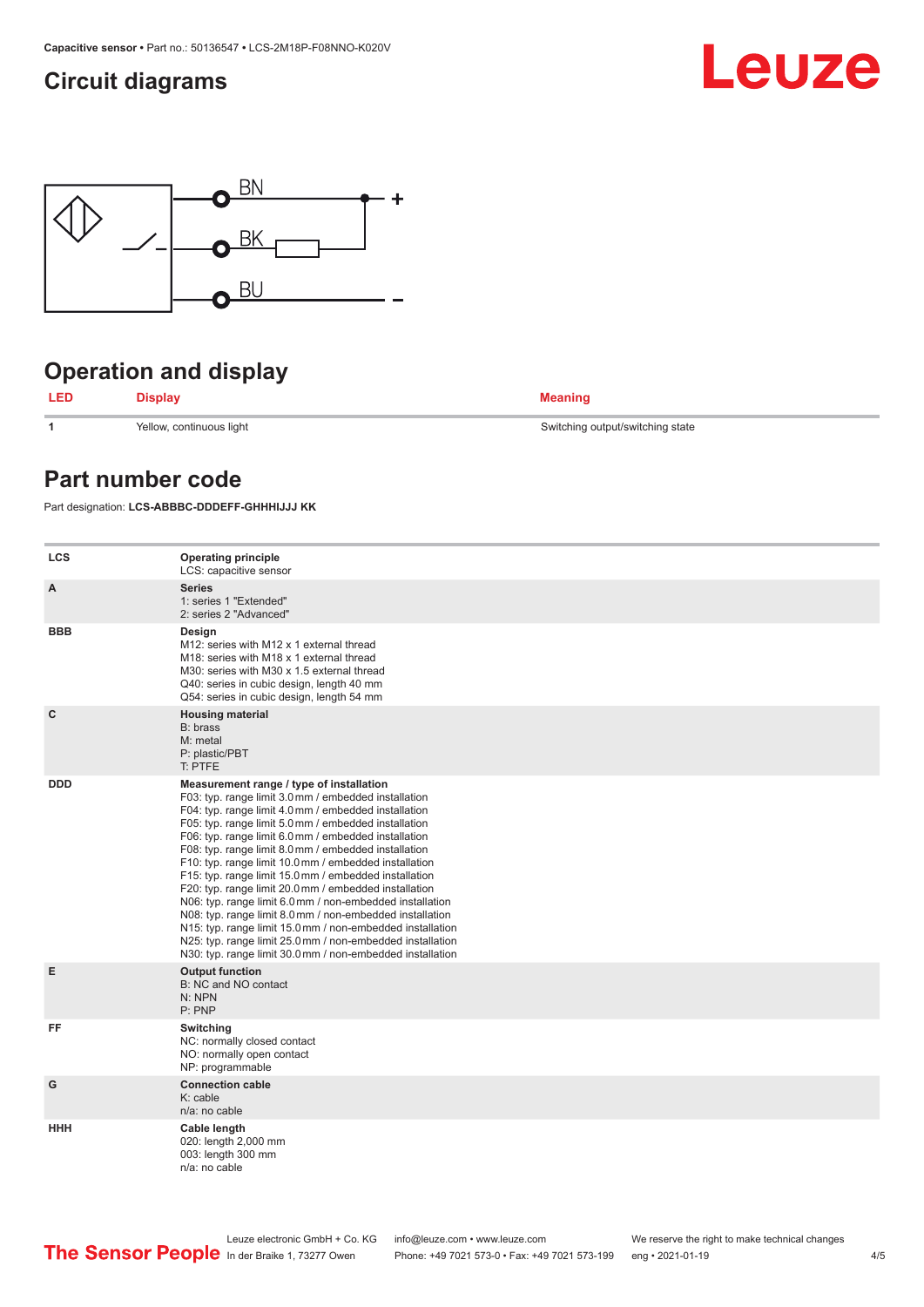### <span id="page-3-0"></span>**Circuit diagrams**





## **Operation and display**

**LED Display Meaning**

**1** Yellow, continuous light Switching output/switching state

### **Part number code**

Part designation: **LCS-ABBBC-DDDEFF-GHHHIJJJ KK**

| <b>LCS</b>  | <b>Operating principle</b><br>LCS: capacitive sensor                                                                                                                                                                                                                                                                                                                                                                                                                                                                                                                                                                                                                                                                                                                                                                       |
|-------------|----------------------------------------------------------------------------------------------------------------------------------------------------------------------------------------------------------------------------------------------------------------------------------------------------------------------------------------------------------------------------------------------------------------------------------------------------------------------------------------------------------------------------------------------------------------------------------------------------------------------------------------------------------------------------------------------------------------------------------------------------------------------------------------------------------------------------|
| A           | <b>Series</b><br>1: series 1 "Extended"<br>2: series 2 "Advanced"                                                                                                                                                                                                                                                                                                                                                                                                                                                                                                                                                                                                                                                                                                                                                          |
| <b>BBB</b>  | Design<br>M12: series with M12 x 1 external thread<br>M18: series with M18 x 1 external thread<br>M30: series with M30 x 1.5 external thread<br>Q40: series in cubic design, length 40 mm<br>Q54: series in cubic design, length 54 mm                                                                                                                                                                                                                                                                                                                                                                                                                                                                                                                                                                                     |
| $\mathbf c$ | <b>Housing material</b><br>B: brass<br>M: metal<br>P: plastic/PBT<br>T: PTFE                                                                                                                                                                                                                                                                                                                                                                                                                                                                                                                                                                                                                                                                                                                                               |
| <b>DDD</b>  | Measurement range / type of installation<br>F03: typ. range limit 3.0 mm / embedded installation<br>F04: typ. range limit 4.0 mm / embedded installation<br>F05: typ. range limit 5.0 mm / embedded installation<br>F06: typ. range limit 6.0 mm / embedded installation<br>F08: typ. range limit 8.0 mm / embedded installation<br>F10: typ. range limit 10.0 mm / embedded installation<br>F15: typ. range limit 15.0 mm / embedded installation<br>F20: typ. range limit 20.0 mm / embedded installation<br>N06: typ. range limit 6.0 mm / non-embedded installation<br>N08: typ. range limit 8.0 mm / non-embedded installation<br>N15: typ. range limit 15.0 mm / non-embedded installation<br>N25: typ. range limit 25.0 mm / non-embedded installation<br>N30: typ. range limit 30.0 mm / non-embedded installation |
| Е           | <b>Output function</b><br>B: NC and NO contact<br>N: NPN<br>P: PNP                                                                                                                                                                                                                                                                                                                                                                                                                                                                                                                                                                                                                                                                                                                                                         |
| FF          | Switching<br>NC: normally closed contact<br>NO: normally open contact<br>NP: programmable                                                                                                                                                                                                                                                                                                                                                                                                                                                                                                                                                                                                                                                                                                                                  |
| G           | <b>Connection cable</b><br>$K:$ cable<br>n/a: no cable                                                                                                                                                                                                                                                                                                                                                                                                                                                                                                                                                                                                                                                                                                                                                                     |
| <b>HHH</b>  | Cable length<br>020: length 2,000 mm<br>003: length 300 mm<br>$n/a$ : no cable                                                                                                                                                                                                                                                                                                                                                                                                                                                                                                                                                                                                                                                                                                                                             |